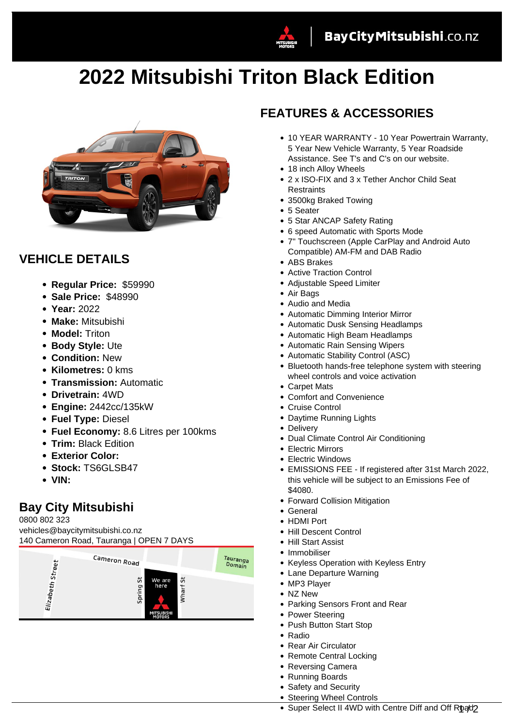



## **VEHICLE DETAILS**

- **Regular Price:** \$59990
- **Sale Price:** \$48990
- **Year:** 2022
- **Make:** Mitsubishi
- **Model:** Triton
- **Body Style:** Ute
- **Condition:** New
- **Kilometres:** 0 kms
- **Transmission:** Automatic
- **Drivetrain:** 4WD
- **Engine:** 2442cc/135kW
- **Fuel Type:** Diesel
- **Fuel Economy:** 8.6 Litres per 100kms
- **Trim:** Black Edition
- **Exterior Color:**
- **Stock:** TS6GLSB47
- **VIN:**

## **Bay City Mitsubishi**

0800 802 323

vehicles@baycitymitsubishi.co.nz 140 Cameron Road, Tauranga | OPEN 7 DAYS



## **FEATURES & ACCESSORIES**

- 10 YEAR WARRANTY 10 Year Powertrain Warranty, 5 Year New Vehicle Warranty, 5 Year Roadside Assistance. See T's and C's on our website.
- 18 inch Alloy Wheels
- 2 x ISO-FIX and 3 x Tether Anchor Child Seat **Restraints**
- 3500kg Braked Towing
- 5 Seater
- 5 Star ANCAP Safety Rating
- 6 speed Automatic with Sports Mode
- 7" Touchscreen (Apple CarPlay and Android Auto Compatible) AM-FM and DAB Radio
- ABS Brakes
- Active Traction Control
- Adjustable Speed Limiter
- Air Bags
- Audio and Media
- Automatic Dimming Interior Mirror
- Automatic Dusk Sensing Headlamps
- Automatic High Beam Headlamps
- Automatic Rain Sensing Wipers
- Automatic Stability Control (ASC)
- Bluetooth hands-free telephone system with steering wheel controls and voice activation
- Carpet Mats
- Comfort and Convenience
- Cruise Control
- Daytime Running Lights
- Delivery
- Dual Climate Control Air Conditioning
- Electric Mirrors
- Electric Windows
- EMISSIONS FEE If registered after 31st March 2022, this vehicle will be subject to an Emissions Fee of \$4080.
- Forward Collision Mitigation
- General
- HDMI Port
- Hill Descent Control
- Hill Start Assist
- Immobiliser
- Keyless Operation with Keyless Entry
- Lane Departure Warning
- MP3 Player
- NZ New
- Parking Sensors Front and Rear
- Power Steering
- Push Button Start Stop
- Radio
- Rear Air Circulator
- Remote Central Locking
- Reversing Camera
- Running Boards
- Safety and Security
- Steering Wheel Controls
- Super Select II 4WD with Centre Diff and Off Road?